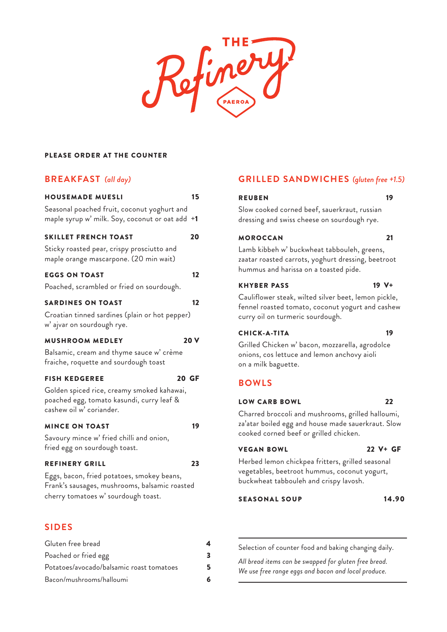

#### PLEASE ORDER AT THE COUNTER

## **BREAKFAST** *(all day)*

| <b>HOUSEMADE MUESLI</b>                                                                                             | 15   |
|---------------------------------------------------------------------------------------------------------------------|------|
| Seasonal poached fruit, coconut yoghurt and<br>maple syrup w' milk. Soy, coconut or oat add +1                      |      |
| <b>SKILLET FRENCH TOAST</b>                                                                                         | 20   |
| Sticky roasted pear, crispy prosciutto and<br>maple orange mascarpone. (20 min wait)                                |      |
| <b>EGGS ON TOAST</b>                                                                                                | 12   |
| Poached, scrambled or fried on sourdough.                                                                           |      |
| <b>SARDINES ON TOAST</b>                                                                                            | 12   |
| Croatian tinned sardines (plain or hot pepper)<br>w' ajvar on sourdough rye.                                        |      |
| <b>MUSHROOM MEDLEY</b>                                                                                              | 20 V |
| Balsamic, cream and thyme sauce w' crème                                                                            |      |
| fraiche, roquette and sourdough toast                                                                               |      |
| <b>FISH KEDGEREE</b><br>20 GF                                                                                       |      |
| Golden spiced rice, creamy smoked kahawai,<br>poached egg, tomato kasundi, curry leaf &<br>cashew oil w' coriander. |      |
| <b>MINCE ON TOAST</b>                                                                                               | 19   |
| Savoury mince w' fried chilli and onion,<br>fried egg on sourdough toast.                                           |      |
| <b>REFINERY GRILL</b>                                                                                               | 23   |
| Eggs, bacon, fried potatoes, smokey beans,<br>Frank's sausages, mushrooms, balsamic roasted                         |      |

# **SIDES**

| Gluten free bread<br>Poached or fried egg<br>Potatoes/avocado/balsamic roast tomatoes<br>Bacon/mushrooms/halloumi | 3 |  |
|-------------------------------------------------------------------------------------------------------------------|---|--|
|                                                                                                                   |   |  |

## **GRILLED SANDWICHES** *(gluten free +1.5)*

#### REUBEN 19

Slow cooked corned beef, sauerkraut, russian dressing and swiss cheese on sourdough rye.

#### MOROCCAN 21

Lamb kibbeh w' buckwheat tabbouleh, greens, zaatar roasted carrots, yoghurt dressing, beetroot hummus and harissa on a toasted pide.

#### KHYBER PASS 19 V+

Cauliflower steak, wilted silver beet, lemon pickle, fennel roasted tomato, coconut yogurt and cashew curry oil on turmeric sourdough.

#### CHICK-A-TITA 19

Grilled Chicken w' bacon, mozzarella, agrodolce onions, cos lettuce and lemon anchovy aioli on a milk baguette.

# **BOWLS**

#### LOW CARB BOWL 22

Charred broccoli and mushrooms, grilled halloumi, za'atar boiled egg and house made sauerkraut. Slow cooked corned beef or grilled chicken.

## VEGAN BOWL 22 V+ GF

Herbed lemon chickpea fritters, grilled seasonal vegetables, beetroot hummus, coconut yogurt, buckwheat tabbouleh and crispy lavosh.

### SEASONAL SOUP 14.90

Selection of counter food and baking changing daily.

*All bread items can be swapped for gluten free bread. We use free range eggs and bacon and local produce.*